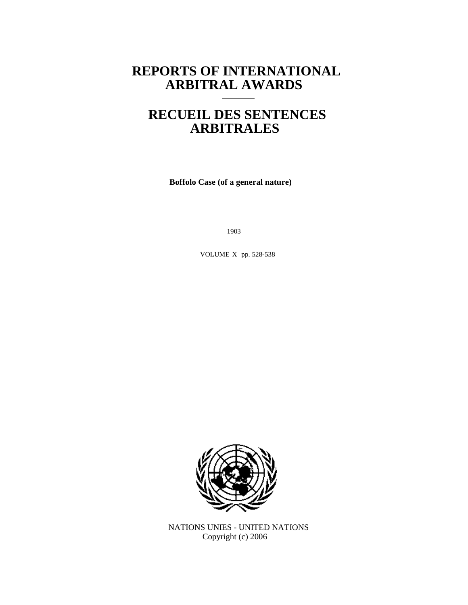# **REPORTS OF INTERNATIONAL ARBITRAL AWARDS**

# **RECUEIL DES SENTENCES ARBITRALES**

**Boffolo Case (of a general nature)**

1903

VOLUME X pp. 528-538



NATIONS UNIES - UNITED NATIONS Copyright (c) 2006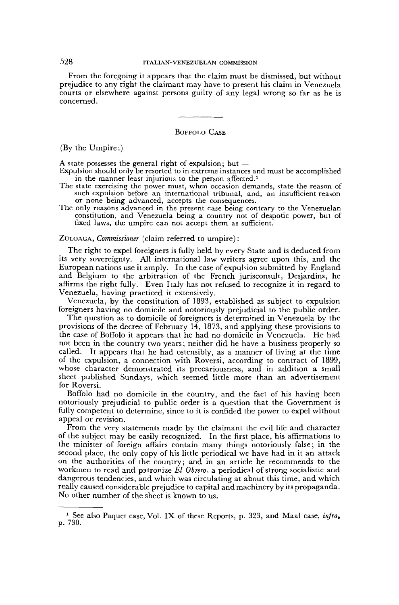# 528 ITALIAN-VENEZUELAN COMMISSION

From the foregoing it appears that the claim must be dismissed, but without prejudice to any right the claimant may have to present his claim in Venezuela courts or elsewhere against persons guilty of any legal wrong so far as he is concerned.

#### BOFFOLO CASE

(By the Umpire:)

A state possesses the general right of expulsion; but —

- Expulsion should only be resorted to in extreme instances and must be accomplished in the manner least injurious to the person affected.<sup>1</sup>
- The state exercising the power must, when occasion demands, state the reason of such expulsion before an international tribunal, and, an insufficient reason or none being advanced, accepts the consequences.
- The only reasons advanced in the present case being contrary to the Venezuelan constitution, and Venezuela being a country not of despotic power, but of fixed laws, the umpire can not accept them as sufficient.

ZULOAGA, *Commissioner* (claim referred to umpire) :

The right to expel foreigners is fully held by every State and is deduced from its very sovereignty. All international law writers agree upon this, and the European nations use it amply. In the case of expulsion submitted by England and Belgium to the arbitration of the French jurisconsult, Desjardins, he affirms the right fully. Even Italy has not refused to recognize it in regard to Venezuela, having practiced it extensively.

Venezuela, by the constitution of 1893, established as subject to expulsion foreigners having no domicile and notoriously prejudicial to the public order.

The question as to domicile of foreigners is determined in Venezuela by the provisions of the decree of February  $14$ , 1873, and applying these provisions to the case of Boffolo it appears that he had no domicile in Venezuela. He had not been in the country two years; neither did he have a business properly so called. It appears that he had ostensibly, as a manner of living at the time of the expulsion, a connection with Roversi, according to contract of 1899, whose character demonstrated its precariousness, and in addition a small sheet published Sundays, which seemed little more than an advertisement for Roversi.

Boffolo had no domicile in the country, and the fact of his having been notoriously prejudicial to public order is a question that the Government is fully competent to determine, since to it is confided the power to expel without appeal or revision.

From the very statements made by the claimant the evil life and character of the subject may be easily recognized. In the first place, his affirmations to the minister of foreign affairs contain many things notoriously false; in the second place, the only copy of his little periodical we have had in it an attack on the authorities of the country; and in an article he recommends to the workmen to read and patronize *El Obrero,* a periodical of strong socialistic and dangerous tendencies, and which was circulating at about this time, and which really caused considerable prejudice to capital and machinery by its propaganda. No other number of the sheet is known to us.

<sup>&</sup>lt;sup>1</sup> See also Paquet case, Vol. IX of these Reports, p. 323, and Maal case, infra, p. 730.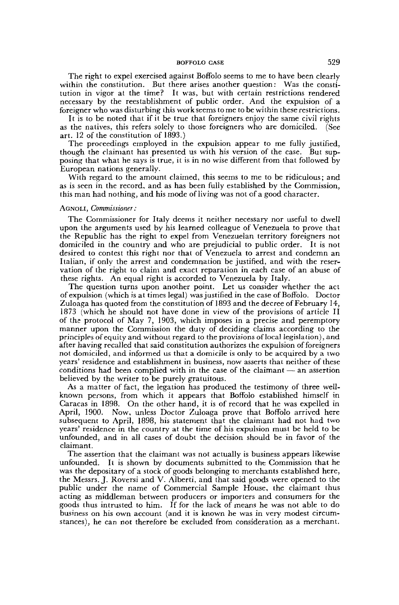The right to expel exercised against Boffolo seems to me to have been clearly within the constitution. But there arises another question: Was the constitution in vigor at the time? It was, but with certain restrictions rendered necessary by the reestablishment of public order. And the expulsion of a foreigner who was disturbing this work seems tome to be within these restrictions.

It is to be noted that if it be true that foreigners enjoy the same civil rights as the natives, this refers solely to those foreigners who are domiciled. (See art. 12 of the constitution of 1893.)

The proceedings employed in the expulsion appear to me fully justified, though the claimant has presented us with his version of the case. But supposing that what he says is true, it is in no wise different from that followed by European nations generally.

With regard to the amount claimed, this seems to me to be ridiculous; and as is seen in the record, and as has been fully established by the Commission, this man had nothing, and his mode of living was not of a good character.

#### AGNOLI, *Commissioner :*

The Commissioner for Italy deems it neither necessary nor useful to dwell upon the arguments used by his learned colleague of Venezuela to prove that the Republic has the right to expel from Venezuelan territory foreigners not domiciled in the country and who are prejudicial to public order. It is not desired to contest this right nor that of Venezuela to arrest and condemn an Italian, if only the arrest and condemnation be justified, and with the reservation of the right to claim and exact reparation in each case of an abuse of these rights. An equal right is accorded to Venezuela by Italy.

The question turns upon another point. Let us consider whether the act of expulsion (which is at times legal) was justified in the case of Boffolo. Doctor Zuloaga has quoted from the constitution of 1893 and the decree of February 14, 1873 (which he should not have done in view of the provisions of article II of the protocol of May 7, 1903, which imposes in a precise and peremptory manner upon the Commission the duty of deciding claims according to the principles of equity and without regard to the provisions of local legislation), and after having recalled that said constitution authorizes the expulsion of foreigners not domiciled, and informed us that a domicile is only to be acquired by a two years' residence and establishment in business, now asserts that neither of these conditions had been complied with in the case of the claimant — an assertion believed by the writer to be purely gratuitous.

As a matter of fact, the legation has produced the testimony of three wellknown persons, from which it appears that Boffolo established himself in Caracas in 1898. On the other hand, it is of record that he was expelled in April, 1900. Now, unless Doctor Zuloaga prove that Boffolo arrived here subsequent to April, 1898, his statement that the claimant had not had two years' residence in the country at the time of his expulsion must be held to be unfounded, and in all cases of doubt the decision should be in favor of the claimant.

The assertion that the claimant was not actually is business appears likewise unfounded. It is shown by documents submitted to the Commission that he was the depositary of a stock of goods belonging to merchants established here, the Messrs. J. Roversi and V. Alberti, and that said goods were opened to the public under the name of Commercial Sample House, the claimant thus acting as middleman between producers or importers and consumers for the goods thus intrusted to him. If for the lack of means he was not able to do business on his own account (and it is known he was in very modest circumstances), he can not therefore be excluded from consideration as a merchant.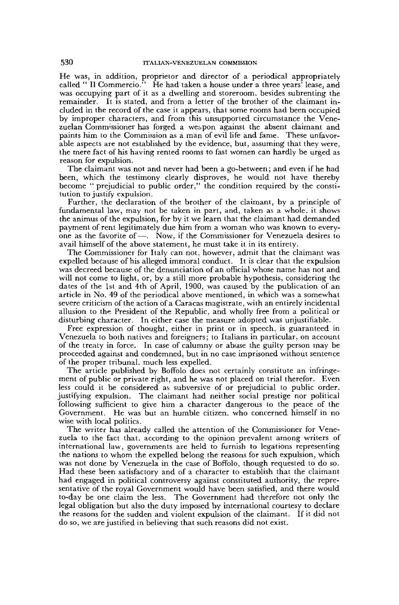He was, in addition, proprietor and director of a periodical appropriately called " Il Commercio." He had taken a house under a three years' lease, and was occupying part of it as a dwelling and storeroom, besides subrenting the remainder. It is stated, and from a letter of the brother of the claimant included in the record of the case it appears, that some rooms had been occupied by improper characters, and from this unsupported circumstance the Venezuelan Commissioner has forged a weapon against the absent claimant and paints him to the Commission as a man of evil life and fame. These unfavorable aspects are not established by the evidence, but, assuming that they were, the mere fact of his having rented rooms to fast women can hardly be urged as reason for expulsion.

The claimant was not and never had been a go-between ; and even if he had been, which the testimony clearly disproves, he would not have thereby become " prejudicial to public order," the condition required by the constitution to justify expulsion.

Further, the declaration of the brother of the claimant, by a principle of fundamental law, may not be taken in part, and, taken as a whole, it shows the animus of the expulsion, for by it we learn that the claimant had demanded payment of rent legitimately due him from a woman who was known to everyone as the favorite of—. Now, if the Commissioner for Venezuela desires to avail himself of the above statement, he must take it in its entirety.

The Commissioner for Italy can not, however, admit that the claimant was expelled because of his alleged immoral conduct. It is clear that the expulsion was decreed because of the denunciation of an official whose name has not and will not come to light, or, by a still more probable hypothesis, considering the dates of the 1st and 4th of April, 1900, was caused by the publication of an article in No. 49 of the periodical above mentioned, in which was a somewhat severe criticism of the action of a Caracas magistrate, with an entirely incidental allusion to the President of the Republic, and wholly free from a political or disturbing character. In either case the measure adopted was unjustifiable.

Free expression of thought, either in print or in speech, is guaranteed in Venezuela to both natives and foreigners; to Italians in particular, on account of the treaty in force. In case of calumny or abuse the guilty person may be proceeded against and condemned, but in no case imprisoned without sentence of the proper tribunal, much less expelled.

The article published by Boffolo does not certainly constitute an infringement of public or private right, and he was not placed on trial therefor. Even less could it be considered as subversive of or prejudicial to public order, justifying expulsion. The claimant had neither social prestige nor political following sufficient to give him a character dangerous to the peace of the Government. He was but an humble citizen, who concerned himself in no wise with local politics.

The writer has already called the attention of the Commissioner for Venezuela to the fact that, according to the opinion prevalent among writers of international law, governments are held to furnish to legations representing the nations to whom the expelled belong the reasons for such expulsion, which was not done by Venezuela in the case of Boffolo, though requested to do so. Had these been satisfactory and of a character to establish that the claimant had engaged in political controversy against constituted authority, the representative of the royal Government would have been satisfied, and there would to-day be one claim the less. The Government had therefore not only the legal obligation but also the duty imposed by international courtesy to declare the reasons for the sudden and violent expulsion of the claimant. If it did not do so, we are justified in believing that such reasons did not exist.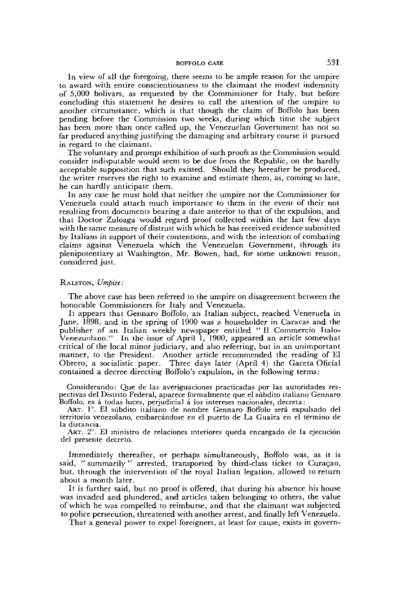In view of all the foregoing, there seems to be ample reason for the umpire to award with entire conscientiousness to the claimant the modest indemnity of 5,000 bolivars, as requested by the Commissioner for Italy, but before concluding this statement he desires to call the attention of the umpire to another circumstance, which is that though the claim of Boffolo has been pending before the Commission two weeks, during which time the subject has been more than once called up, the Venezuelan Government has not so far produced anything justifying the damaging and arbitrary course it pursued in regard to the claimant.

The voluntary and prompt exhibition of such proofs as the Commission would consider indisputable would seem to be due from the Republic, on the hardly acceptable supposition that such existed. Should they hereafter be produced, the writer reserves the right to examine and estimate them, as, coming so late, he can hardly anticipate them.

In any case he must hold that neither the umpire nor the Commissioner for Venezuela could attach much importance to them in the event of their not resulting from documents bearing a date anterior to that of the expulsion, and that Doctor Zuloaga would regard proof collected within the last few days with the same measure of distrust with which he has received evidence submitted by Italians in support of their contentions, and with the intention of combating claims against Venezuela which the Venezuelan Government, through its plenipotentiary at Washington, Mr. Bowen, had, for some unknown reason, considered just.

#### RALSTON, *Umpire:*

The above case has been referred lo the umpire on disagreement between the honorable Commissioners for Italy and Venezuela.

It appears that Gennaro Boffolo, an Italian subject, reached Venezuela in June, 1898, and in the spring of 1900 was a householder in Caracas and the publisher of an Italian weekly newspaper entitled " II Commercio Italo-Venezuolano." In the issue of April 1, 1900, appeared an article somewhat critical of the local minor judiciary, and also referring, but in an unimportant manner, to the President. Another article recommended the reading of El Obrero, a socialistic paper. Three days later (April 4) the Gaceta Oficial contained a decree directing Boffolo's expulsion, in the following terms:

Considerando: Que de las averiguaciones practicadas por las autoridades respectivas del Distrito Federal, aparece formalmente que el sûbdito italiano Gennaro Boffolo, es â todas luces, perjudicial â Ios intereses nacionales, décréta:

ART. 1°. El sûbdito italiano de nombre Gennaro Boffolo sera expulsado del territorio venezolano, embarcândose en el puerto de La Guaira en el término de la distancia.

ART. 2°. El ministro de relaciones interiores queda encargado de la ejecuciôn del presente decreto.

Immediately thereafter, or perhaps simultaneously, Boffolo was, as it is said, "summarily" arrested, transported by third-class ticket to Curaçao, but, through the intervention of the royal Italian legation, allowed to return about a month later.

It is further said, but no proof is offered, that during his absence his house was invaded and plundered, and articles taken belonging to others, the value of which he was compelled to reimburse, and that the claimant was subjected to police persecution, threatened with another arrest, and finally left Venezuela.

That a general power to expel foreigners, at least for cause, exists in govern-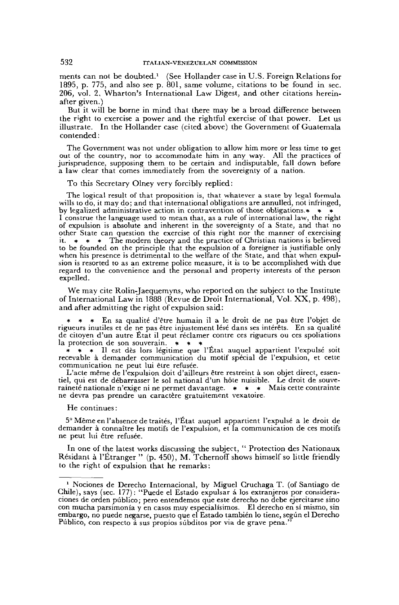ments can not be doubted.<sup>1</sup> (See Hollander case in U.S. Foreign Relations for 1895, p. 775, and also see p. 801, same volume, citations to be found in sec. 206, vol. 2, Wharton's International Law Digest, and other citations hereinafter given.)

But it will be borne in mind that there may be a broad difference between the right to exercise a power and the rightful exercise of that power. Let us illustrate. In the Hollander case (cited above) the Government of Guatemala contended :

The Government was not under obligation to allow him more or less time to get out of the country, nor to accommodate him in any way. All the practices of jurisprudence, supposing them to be certain and indisputable, fall down before a law clear that comes immediately from the sovereignty of a nation.

To this Secretary Olney very forcibly replied:

The logical result of that proposition is, that whatever a state by legal formula wills to do, it may do; and that international obligations are annulled, not infringed, by legalized administrative action in contravention of those obligations.\* \* I construe the language used to mean that, as a rule of international law, the right of expulsion is absolute and inherent in the sovereignty of a State, and that no other State can question the exercise of this right nor the manner of exercising it.  $\star \star \star$  The modern theory and the practice of Christian nations is believed to be founded on the principle that the expulsion of a foreigner is justifiable only when his presence is detrimental to the welfare of the State, and that when expulsion is resorted to as an extreme police measure, it is to be accomplished with due regard to the convenience and the personal and property interests of the person expelled.

We may cite Rolin-Jaequemyns, who reported on the subject to the Institute of International Law in 1888 (Revue de Droit International, Vol. XX, p. 498), and after admitting the right of expulsion said:

En sa qualité d'être humain il a le droit de ne pas être l'objet de rigueurs inutiles et de ne pas être injustement lésé dans ses intérêts. En sa qualité de citoyen d'un autre État il peut réclamer contre ces rigueurs ou ces spoliations la protection de son souverain. \* \* \*

\* \* \* II est dès lors légitime que l'État auquel appartient l'expulsé soit recevable à demander communication du motif spécial de l'expulsion, et cette communication ne peut lui être refusée.

L'acte même de l'expulsion doit d'ailleurs être restreint à son objet direct, essentiel, qui est de débarrasser le sol national d'un hôte nuisible. Le droit de souveraineté nationale n'exige ni ne permet davantage. \* \* \* Mais cette contrainte ne devra pas prendre un caractère gratuitement vexatoire.

#### He continues:

5° Même en l'absence de traités, l'État auquel appartient l'expulsé a le droit de demander à connaître les motifs de l'expulsion, et la communication de ces motifs ne peut lui être refusée.

In one of the latest works discussing the subject, " Protection des Nationaux Résidant à l'Étranger " (p. 450), M. Tchernoff shows himself so little friendly to the right of expulsion that he remarks:

<sup>&</sup>lt;sup>1</sup> Nociones de Derecho Internacional, by Miguel Cruchaga T. (of Santiago de Chile), says (sec. 177): "Puede el Estado expulsar â los extranjeros por consideraciones de orden pûblico; pero entendemos que este derecho no debe ejercitarse sino con mucha parsimonia y en casos muy especialisimos. El derecho en si mismo, sin embargo, no puede negarse, puesto que el Estado también lo tiene, segûn el Derecho Pûblico, con respecto â sus propios sûbditos por via de grave pena."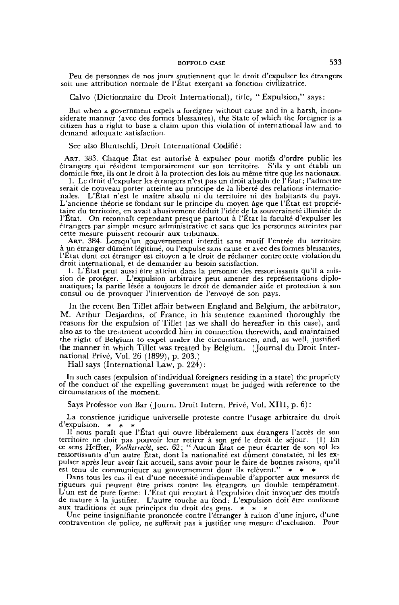Peu de personnes de nos jours soutiennent que le droit d'expulser les étrangers soit une attribution normale de l'État exerçant sa fonction civilizatrice.

Calvo (Dictionnaire du Droit International), title, "Expulsion," says:

But when a government expels a foreigner without cause and in a harsh, inconsiderate manner (avec des formes blessantes), the State of which the foreigner is a citizen has a right to base a claim upon this violation of international law and to demand adequate satisfaction.

See also Bluntschli, Droit International Codifié:

ART. 383. Chaque État est autorisé à expulser pour motifs d'ordre public les étrangers qui résident temporairement sur son territoire. S'ils y ont établi un domicile fixe, ils ont le droit à la protection des lois au même titre que les nationaux.

1. Le droit d'expulser les étrangers n'est pas un droit absolu de l'État; l'admettre serait de nouveau porter atteinte au principe de la liberté des relations internationales. L'État n'est le maître absolu ni du territoire ni des habitants du pays. L'ancienne théorie se fondant sur le principe du moyen âge que l'État est propriétaire du territoire, en avait abusivement déduit l'idée de la souveraineté illimitée de l'État. On reconnaît cependant presque partout à l'État la faculté d'expulser les étrangers par simple mesure administrative et sans que les personnes atteintes par cette mesure puissent recourir aux tribunaux.

ART. 384. Lorsqu'un gouvernement interdit sans motif l'entrée du territoire à un étranger dûment légitimé, ou l'expulse sans cause et avec des formes blessantes, l'État dont cet étranger est citoyen a le droit de réclamer contre cette violation du droit international, et de demander au besoin satisfaction.

1. L"État peut aussi être atteint dans la personne des ressortissants qu'il a mission de protéger. L'expulsion arbitraire peut amener des représentations diplomatiques; la partie lésée a toujours le droit de demander aide et protection à son consul ou de provoquer l'intervention de l'envoyé de son pays.

In the recent Ben Tillet affair between England and Belgium, the arbitrator, M. Arthur Desjardins, of France, in his sentence examined thoroughly the reasons for the expulsion of Tillet (as we shall do hereafter in this case), and also as to the treatment accorded him in connection therewith, and maintained the right of Belgium to expel under the circumstances, and, as well, justified the manner in which Tillet was treated by Belgium. (Journal du Droit International Privé, Vol. 26 (1899), p. 203.)

Hall says (International Law, p. 224) :

In such cases (expulsion of individual foreigners residing in a state) the propriety of the conduct of the expelling government must be judged with reference to the circumstances of the moment.

Says Professor von Bar (Journ. Droit Intern. Privé, Vol. XIII, p. 6) :

La conscience juridique universelle proteste contre l'usage arbitraire du droit d'expulsion. \* \* \*

II nous paraît que l'État qui ouvre libéralement aux étrangers l'accès de son territoire ne doit pas pouvoir leur retirer à son gré le droit de séjour. (1) En ce sens Heffter, *Voelkerrecht,* sec. 62; " Aucun État ne peut écarter de son sol les ressortissants d'un autre État, dont la nationalité est dûment constatée, ni les expulser après leur avoir fait accueil, sans avoir pour le faire de bonnes raisons, qu'il est tenu de communiquer au gouvernement dont ils relèvent." \* \* \*

Dans tous les cas il est d'une nécessité indispensable d'apporter aux mesures de rigueurs qui peuvent être prises contre les étrangers un double tempérament. L'un est de pure forme: L'Etat qui recourt à l'expulsion doit invoquer des motifs de nature à la justifier. L'autre touche au fond: L'expulsion doit être conforme aux traditions et aux principes du droit des gens. \* \* \*

Une peine insignifiante prononcée contre l'étranger à raison d'une injure, d'une contravention de police, ne suffirait pas à justifier une mesure d'exclusion. Pour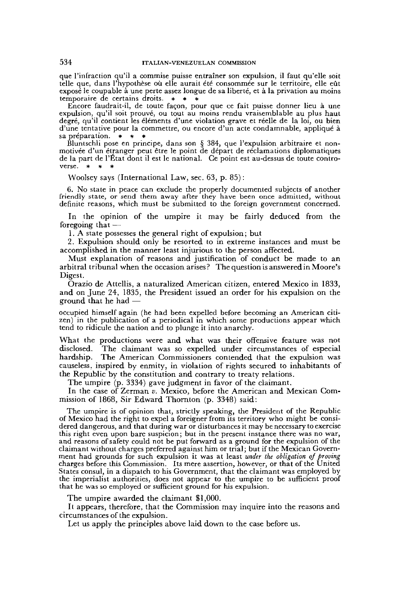que l'infraction qu'il a commise puisse entraîner son expulsion, il faut qu'elle soit telle que, dans l'hypothèse où elle aurait été consommée sur le territoire, elle eût exposé le coupable à une perte assez longue de sa liberté, et à la privation au moins temporaire de certains droits.  $*$   $*$ 

Encore faudrait-il, de toute façon, pour que ce fait puisse donner lieu à une expulsion, qu'il soit prouvé, ou tout au moins rendu vraisemblable au plus haut degré, qu'il contient les éléments d'une violation grave et réelle de la loi, ou bien d'une tentative pour la commettre, ou encore d'un acte condamnable, appliqué à sa préparation. \* \*

Bluntschli pose en principe, dans son § 384, que l'expulsion arbitraire et nonmotivée d'un étranger peut être le point de départ de réclamations diplomatiques de la part de l'État dont il est le national. Ce point est au-dessus de toute controverse.  $*$   $*$ 

Woolsey says (International Law, sec. 63, p. 85) :

6. No state in peace can exclude the properly documented subjects of another friendly state, or send them away after they have been once admitted, without definite reasons, which must be submitted to the foreign government concerned.

In the opinion of the umpire it may be fairly deduced from the foregoing that —

1. A state possesses the general right of expulsion; but

2. Expulsion should only be resorted to in extreme instances and must be accomplished in the manner least injurious to the person affected.

Must explanation of reasons and justification of conduct be made to an arbitral tribunal when the occasion arises? The question is answered in Moore's Digest.

Orazio de Attellis, a naturalized American citizen, entered Mexico in 1833, and on June 24, 1835, the President issued an order for his expulsion on the ground that he had —

occupied himself again (he had been expelled before becoming an American citizen) in the publication of a periodical in which some productions appear which tend to ridicule the nation and to plunge it into anarchy.

What the productions were and what was their offensive feature was not disclosed. The claimant was so expelled under circumstances of especial hardship. The American Commissioners contended that the expulsion was causeless, inspired by enmity, in violation of rights secured to inhabitants of the Republic by the constitution and contrary to treaty relations.

The umpire (p. 3334) gave judgment in favor of the claimant.

In the case of Zerman *v.* Mexico, before the American and Mexican Commission of 1868, Sir Edward Thornton (p. 3348) said:

The umpire is of opinion that, strictly speaking, the President of the Republic of Mexico had the right to expel a foreigner from its territory who might be considered dangerous, and that during war or disturbances it may be necessary to exercise this right even upon bare suspicion; but in the present instance there was no war, and reasons of safety could not be put forward as a ground for the expulsion of the claimant without charges preferred against him or trial; but if the Mexican Government had grounds for such expulsion it was at least *under the obligation of proving* charges before this Commission. Its mere assertion, however, or that of the United States consul, in a dispatch to his Government, that the claimant was employed by the imperialist authorities, does not appear to the umpire to be sufficient proof that he was so employed or sufficient ground for his expulsion.

The umpire awarded the claimant \$1,000.

It appears, therefore, that the Commission may inquire into the reasons and circumstances of the expulsion.

Let us apply the principles above laid down to the case before us.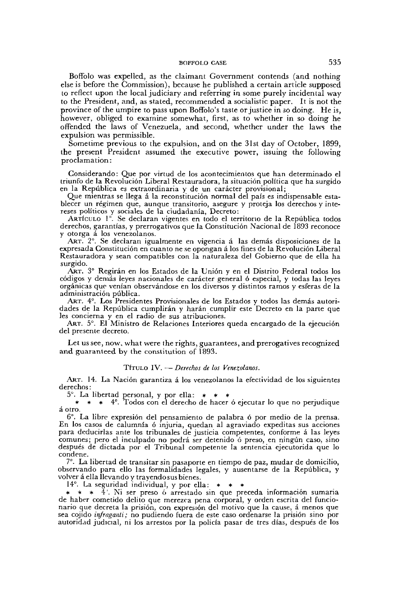Boffolo was expelled, as the claimant Government contends (and nothing else is before the Commission), because he published a certain article supposed to reflect upon the local judiciary and referring in some purely incidental way to the President, and, as stated, recommended a socialistic paper. It is not the province of the umpire to pass upon Boffolo's taste or justice in so doing. He is, however, obliged to examine somewhat, first, as to whether in so doing he offended the laws of Venezuela, and second, whether under the laws the expulsion was permissible.

Sometime previous to the expulsion, and on the 31st day of October, 1899, the present President assumed the executive power, issuing the following proclamation:

Gonsiderando: Que por virtud de los acontecimientos que han determinado el triunfo de la Revoluciôn Liberal Restauradora, la situaciôn politica que ha surgido en la Repûblica es extraordinaria y de un carâcter provisional;

Que mientras se llega *à* la reconstituciôn normal del pais es indispensable establecer un régimen que, aunque transitorio, asegure y proteja los derechos y intereses polîticos y sociales de la ciudadania, Decreto:

ARTfcuLO 1°. Se declaran vigentes en todo el territono de la Repûblica todos derechos, garantias, y prerrogativos que la Constituciôn Nacional de 1893 reconoce y otorga â los venezolanos.

ART. 2°. Se declaran igualmente en vigencia á las demás disposiciones de la expresada Constituciôn en cuanto ne se opongan â los fines de la Revoluciôn Liberal Restauradora y sean compatibles con la naturaleza del Gobierno que de ella ha surgido.

ART. 3° Regirân en los Estados de la Union y en el Distrito Federal todos los côdigos y dénias leyes nacionales de carâcter general ô especial, y todas las leyes orgânicas que venian observândose en los diversos y distintos ramos y esferas de la administraciôn pûblica.

ART. 4°. Los Présidentes Provisionales de los Estados y todos las demâs autoridades de la Repûblica cumplirân y harân cumplir este Decreto en la parte que les concierna y en el radio de sus atribuciones.

ART. 5°. El Ministro de Relaciones Interiores queda encargado de la ejecuciôn del presente decreto.

Let us see, now, what were the rights, guarantees, and prerogatives recognized and guaranteed by the constitution of 1893.

#### TíruLo IV. — Derechos de los Venezolanos.

ART. 14. La Naciôn garantiza â los venezolanos la efectividad de los siguientes derechos:

5°. La libertad personal, y por ella:  $*$ <br> $*$   $*$   $*$   $4^{\circ}$  Todos con el derecho de

\* \* \* 4°. Todos con el derecho de hacer 6 ejecutar lo que no perjudique â otro.

6°. La libre expresiôn del pensamiento de palabra 6 por medio de la prensa. En los casos de calumnía ó injuria, quedan al agraviado expeditas sus acciones para deducirlas ante los tribunales de justicia compétentes, conforme â las leyes comunes; pero el inculpado no podia ser detenido 6 preso, en ningûn caso, sino después de dictada por el Tribunal compétente la sentencia ejecutorida que lo condene.

7°. La libertad de transitar sin pasaporte en tiempo de paz, mudar de domicilio, observando para ello las formalidades légales, y ausentarse de la Repûblica, y volver â ella llevando y trayendosus bienes.

14°. La seguridad individual, y por ella: \* \* \*

\* \* <sup>4</sup>. Ni ser preso ó arrestado sin que preceda información sumaria de haber cometido delito que merezca pena corporal, y orden escrita del funcionario que décréta la prisiôn, con expresiôn del motivo que la cause, â menos que sea cojido *infraganti;* no pudiendo fuera de este caso ordenarse la prisiôn sino por autoridad judicial, ni los arrestos por la policia pasar de très dias, después de los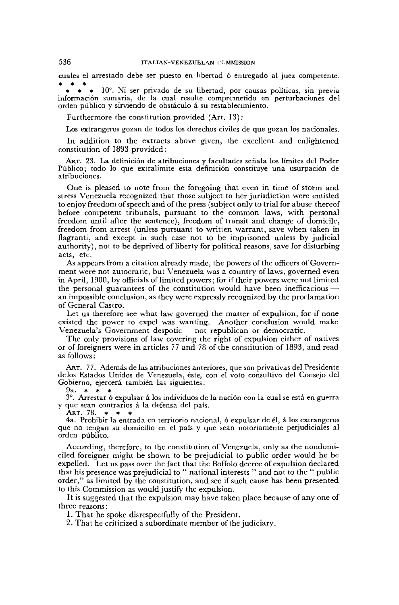cuales el arrestado debe ser puesto en libertad ó entregado al juez competente. \* \* \*

10°. Ni ser privado de su libertad, por causas políticas, sin previa informaciôn sumaria, de la cual resuite comprcmetido en perturbaciones del orden pûblico y sirviendo de obstâculo â su restablecimiento.

Furthermore the constitution provided (Art. 13):

Los extrangeros gozan de todos los derechos civiles de que gozan los nacionales.

In addition to the extracts above given, the excellent and enlightened constitution of 1893 provided:

ART. 23. La definición de atribuciones y facultades señala los límites del Poder Pûblico; todo lo que extralimite esta definiciôn constituye una usurpaciôn de atribuciones.

One is pleased to note from the foregoing that even in time of storm and stress Venezuela recognized that those subject to her jurisdiction were entitled to enjoy freedom of speech and of the press (subject only to trial for abuse thereof before competent tribunals, pursuant to the common laws, with personal freedom until after the sentence), freedom of transit and change of domicile, freedom from arrest (unless pursuant to written warrant, save when taken in flagranti, and except in such case not to be imprisoned unless by judicial authority), not to be deprived of liberty for political reasons, save for disturbing acts, etc.

As appears from a citation already made, the powers of the officers of Government were not autocratic, but Venezuela was a country of laws, governed even in April, 1900, by officials of limited powers; for if their powers were not limited the personal guarantees of the constitution would have been inefficacious an impossible conclusion, as they were expressly recognized by the proclamation of General Castro.

Let us therefore see what law governed the matter of expulsion, for if none existed the power to expel was wanting. Another conclusion would make Venezuela's Government despotic — not republican or democratic.

The only provisions of law covering the right of expulsion either of natives or of foreigners were in articles 77 and 78 of the constitution of 1893, and read as follows:

ART. 77. Además de las atribuciones anteriores, que son privativas del Presidente delos Estados Unidos de Venezuela, este, con el voto consultivo del Conseio del Gobierno, ejercerâ también las siguientes:

9a.  $* * * * *$ 

3°. Arrestar 6 expulsar â los individuos de la naciôn con la cual se esta en guerra y que sean contrarios â la defensa del pais.

ART. 78.  $*$   $*$ 

4a. Prohibir la entrada en territorio nacional, ô expulsar de él, â los extrangeros que no tengan su domicilio en el pais y que sean notoriamente perjudiciales al orden pûblico.

According, therefore, to the constitution of Venezuela, only as the nondomiciled foreigner might be shown to be prejudicial to public order would he be expelled. Let us pass over the fact that the Boffolo decree of expulsion declared that his presence was prejudicial to " national interests " and not to the " public order," as limited by the constitution, and see if such cause has been presented to this Commission as would justify the expulsion.

It is suggested that the expulsion may have taken place because of any one of three reasons :

1. That he spoke disrespectfully of the President.

2. That he criticized a subordinate member of the judiciary.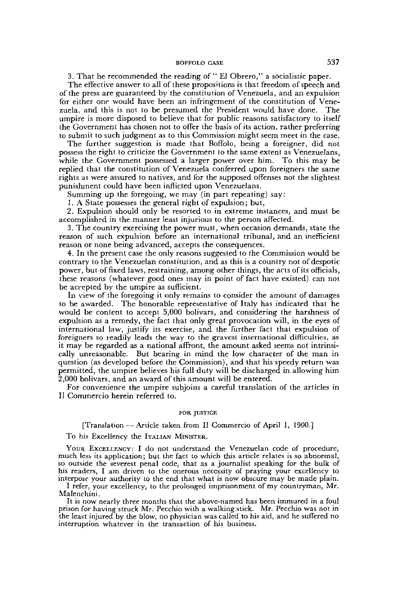3. That he recommended the reading of " El Obrero," a socialistic paper.

The effective answer to all of these propositions is that freedom of speech and of the press are guaranteed by the constitution of Venezuela, and an expulsion for either one would have been an infringement of the constitution of Venezuela, and this is not to be presumed the President would have done. The umpire is more disposed to believe that for public reasons satisfactory to itself the Government has chosen not to offer the basis of its action, rather preferring to submit to such judgment as to this Commission might seem meet in the case.

The further suggestion is made that Boffolo, being a foreigner, did not possess the right to criticize the Government to the same extent as Venezuelans, while the Government possessed a larger power over him. To this may be replied that the constitution of Venezuela conferred upon foreigners the same rights as were assured to natives, and for the supposed offenses not the slightest punishment could have been inflicted upon Venezuelans.

Summing up the foregoing, we may (in part repeating) say:

1. A State possesses the general right of expulsion; but,

2. Expulsion should only be resorted to in extreme instances, and must be accomplished in the manner least injurious to the person affected.

3. The country exercising the power must, when occasion demands, state the reason of such expulsion before an international tribunal, and an inefficient reason or none being advanced, accepts the consequences.

4. In the present case the only reasons suggested to the Commission would be contrary to the Venezuelan constitution, and as this is a country not of despotic power, but of fixed laws, restraining, among other things, the acts of its officials, these reasons (whatever good ones may in point of fact have existed) can not be accepted by the umpire as sufficient.

In view of the foregoing it only remains to consider the amount of damages to be awarded. The honorable representative of Italy has indicated that he would be content to accept 5,000 bolivars, and considering the harshness of expulsion as a remedy, the fact that only great provocation will, in the eyes of international law, justify its exercise, and the further fact that expulsion of foreigners so readily leads the way to the gravest international difficulties, as it may be regarded as a national affront, the amount asked seems not intrinsically unreasonable. But bearing in mind the low character of the man in question (as developed before the Commission), and that his speedy return was permitted, the umpire believes his full duty will be discharged in allowing him 2,000 bolivars, and an award of this amount will be entered.

For convenience the umpire subjoins a careful translation of the articles in II Commercio herein referred to.

#### FOR JUSTICE

[Translation — Article taken from II Commercio of April 1, 1900.]

#### To his Excellency the ITALIAN MINISTER.

YOUR EXCELLENCY: I do not understand the Venezuelan code of procedure, much less its application; but the fact to which this article relates is so abnormal, so outside the severest penal code, that as a journalist speaking for the bulk of his readers, I am driven to the onerous necessity of praying your excellency to interpose your authority to the end that what is now obscure may be made plain.

I refer, your excellency, to the prolonged imprisonment of my countryman, Mr. Malenchini.

It is now nearly three months that the above-named has been immured in a foul prison for having struck Mr. Pecchio with a walking stick. Mr. Pecchio was not in the least injured by the blow, no physician was called to his aid, and he suffered no interruption whatever in the transaction of his business.